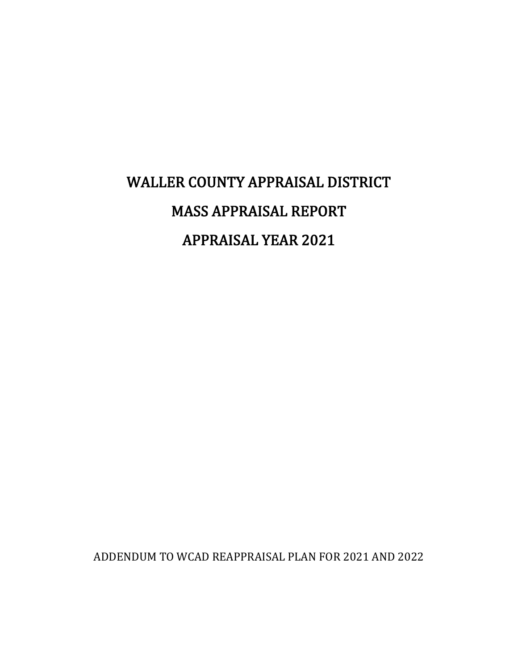# WALLER COUNTY APPRAISAL DISTRICT MASS APPRAISAL REPORT APPRAISAL YEAR 2021

ADDENDUM TO WCAD REAPPRAISAL PLAN FOR 2021 AND 2022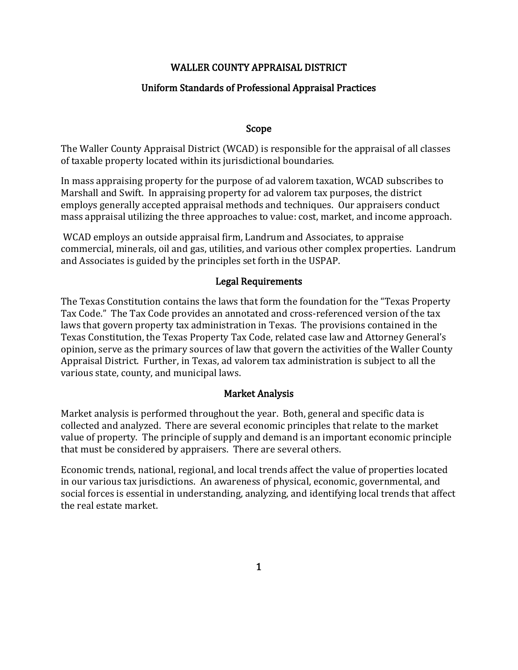#### WALLER COUNTY APPRAISAL DISTRICT

## Uniform Standards of Professional Appraisal Practices

#### Scope

The Waller County Appraisal District (WCAD) is responsible for the appraisal of all classes of taxable property located within its jurisdictional boundaries.

In mass appraising property for the purpose of ad valorem taxation, WCAD subscribes to Marshall and Swift. In appraising property for ad valorem tax purposes, the district employs generally accepted appraisal methods and techniques. Our appraisers conduct mass appraisal utilizing the three approaches to value: cost, market, and income approach.

WCAD employs an outside appraisal firm, Landrum and Associates, to appraise commercial, minerals, oil and gas, utilities, and various other complex properties. Landrum and Associates is guided by the principles set forth in the USPAP.

#### Legal Requirements

The Texas Constitution contains the laws that form the foundation for the "Texas Property Tax Code." The Tax Code provides an annotated and cross-referenced version of the tax laws that govern property tax administration in Texas. The provisions contained in the Texas Constitution, the Texas Property Tax Code, related case law and Attorney General's opinion, serve as the primary sources of law that govern the activities of the Waller County Appraisal District. Further, in Texas, ad valorem tax administration is subject to all the various state, county, and municipal laws.

#### Market Analysis

Market analysis is performed throughout the year. Both, general and specific data is collected and analyzed. There are several economic principles that relate to the market value of property. The principle of supply and demand is an important economic principle that must be considered by appraisers. There are several others.

Economic trends, national, regional, and local trends affect the value of properties located in our various tax jurisdictions. An awareness of physical, economic, governmental, and social forces is essential in understanding, analyzing, and identifying local trends that affect the real estate market.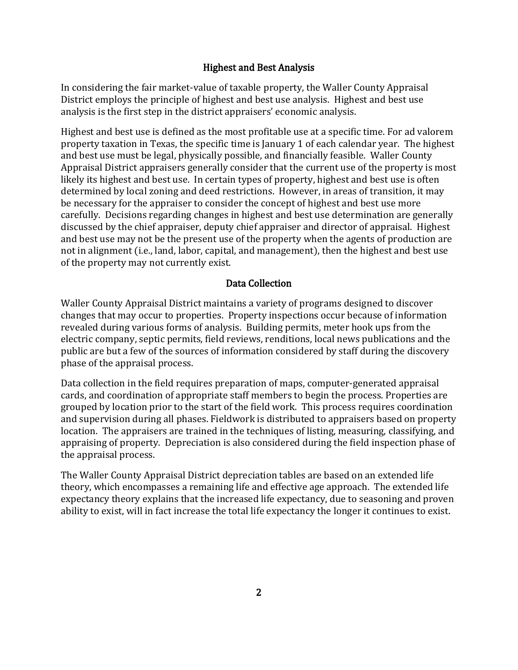#### Highest and Best Analysis

In considering the fair market-value of taxable property, the Waller County Appraisal District employs the principle of highest and best use analysis. Highest and best use analysis is the first step in the district appraisers' economic analysis.

Highest and best use is defined as the most profitable use at a specific time. For ad valorem property taxation in Texas, the specific time is January 1 of each calendar year. The highest and best use must be legal, physically possible, and financially feasible. Waller County Appraisal District appraisers generally consider that the current use of the property is most likely its highest and best use. In certain types of property, highest and best use is often determined by local zoning and deed restrictions. However, in areas of transition, it may be necessary for the appraiser to consider the concept of highest and best use more carefully. Decisions regarding changes in highest and best use determination are generally discussed by the chief appraiser, deputy chief appraiser and director of appraisal. Highest and best use may not be the present use of the property when the agents of production are not in alignment (i.e., land, labor, capital, and management), then the highest and best use of the property may not currently exist.

#### Data Collection

Waller County Appraisal District maintains a variety of programs designed to discover changes that may occur to properties. Property inspections occur because of information revealed during various forms of analysis. Building permits, meter hook ups from the electric company, septic permits, field reviews, renditions, local news publications and the public are but a few of the sources of information considered by staff during the discovery phase of the appraisal process.

Data collection in the field requires preparation of maps, computer-generated appraisal cards, and coordination of appropriate staff members to begin the process. Properties are grouped by location prior to the start of the field work. This process requires coordination and supervision during all phases. Fieldwork is distributed to appraisers based on property location. The appraisers are trained in the techniques of listing, measuring, classifying, and appraising of property. Depreciation is also considered during the field inspection phase of the appraisal process.

The Waller County Appraisal District depreciation tables are based on an extended life theory, which encompasses a remaining life and effective age approach. The extended life expectancy theory explains that the increased life expectancy, due to seasoning and proven ability to exist, will in fact increase the total life expectancy the longer it continues to exist.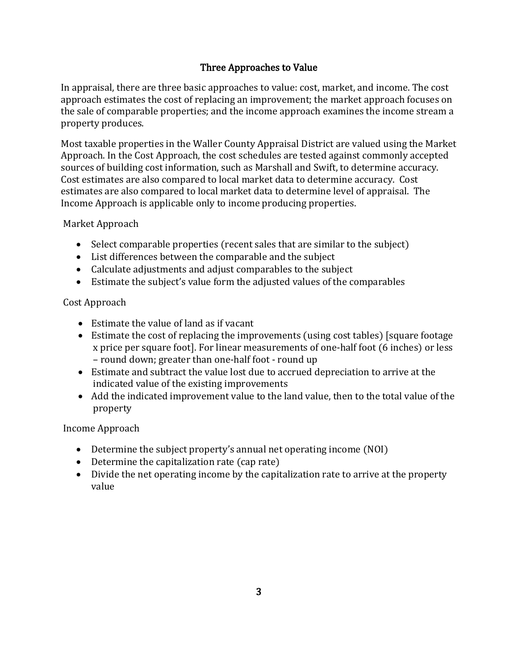## Three Approaches to Value

In appraisal, there are three basic approaches to value: cost, market, and income. The cost approach estimates the cost of replacing an improvement; the market approach focuses on the sale of comparable properties; and the income approach examines the income stream a property produces.

Most taxable properties in the Waller County Appraisal District are valued using the Market Approach. In the Cost Approach, the cost schedules are tested against commonly accepted sources of building cost information, such as Marshall and Swift, to determine accuracy. Cost estimates are also compared to local market data to determine accuracy. Cost estimates are also compared to local market data to determine level of appraisal. The Income Approach is applicable only to income producing properties.

#### Market Approach

- Select comparable properties (recent sales that are similar to the subject)
- List differences between the comparable and the subject
- Calculate adjustments and adjust comparables to the subject
- Estimate the subject's value form the adjusted values of the comparables

### Cost Approach

- Estimate the value of land as if vacant
- Estimate the cost of replacing the improvements (using cost tables) [square footage] x price per square foot]. For linear measurements of one-half foot (6 inches) or less – round down; greater than one-half foot - round up
- Estimate and subtract the value lost due to accrued depreciation to arrive at the indicated value of the existing improvements
- Add the indicated improvement value to the land value, then to the total value of the property

## Income Approach

- Determine the subject property's annual net operating income (NOI)
- Determine the capitalization rate (cap rate)
- Divide the net operating income by the capitalization rate to arrive at the property value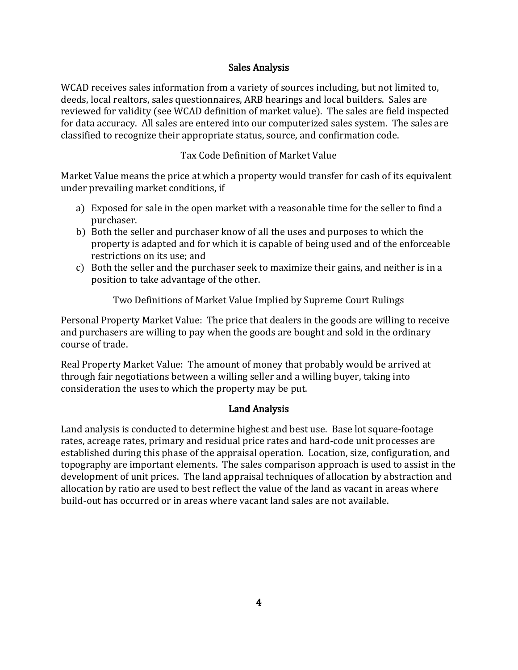#### Sales Analysis

WCAD receives sales information from a variety of sources including, but not limited to, deeds, local realtors, sales questionnaires, ARB hearings and local builders. Sales are reviewed for validity (see WCAD definition of market value). The sales are field inspected for data accuracy. All sales are entered into our computerized sales system. The sales are classified to recognize their appropriate status, source, and confirmation code.

### Tax Code Definition of Market Value

Market Value means the price at which a property would transfer for cash of its equivalent under prevailing market conditions, if

- a) Exposed for sale in the open market with a reasonable time for the seller to find a purchaser.
- b) Both the seller and purchaser know of all the uses and purposes to which the property is adapted and for which it is capable of being used and of the enforceable restrictions on its use; and
- c) Both the seller and the purchaser seek to maximize their gains, and neither is in a position to take advantage of the other.

Two Definitions of Market Value Implied by Supreme Court Rulings

Personal Property Market Value: The price that dealers in the goods are willing to receive and purchasers are willing to pay when the goods are bought and sold in the ordinary course of trade.

Real Property Market Value: The amount of money that probably would be arrived at through fair negotiations between a willing seller and a willing buyer, taking into consideration the uses to which the property may be put.

## Land Analysis

Land analysis is conducted to determine highest and best use. Base lot square-footage rates, acreage rates, primary and residual price rates and hard-code unit processes are established during this phase of the appraisal operation. Location, size, configuration, and topography are important elements. The sales comparison approach is used to assist in the development of unit prices. The land appraisal techniques of allocation by abstraction and allocation by ratio are used to best reflect the value of the land as vacant in areas where build-out has occurred or in areas where vacant land sales are not available.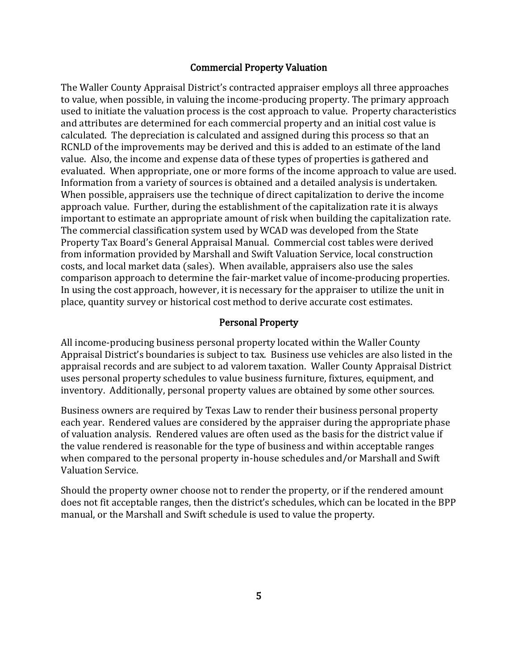#### Commercial Property Valuation

The Waller County Appraisal District's contracted appraiser employs all three approaches to value, when possible, in valuing the income-producing property. The primary approach used to initiate the valuation process is the cost approach to value. Property characteristics and attributes are determined for each commercial property and an initial cost value is calculated. The depreciation is calculated and assigned during this process so that an RCNLD of the improvements may be derived and this is added to an estimate of the land value. Also, the income and expense data of these types of properties is gathered and evaluated. When appropriate, one or more forms of the income approach to value are used. Information from a variety of sources is obtained and a detailed analysis is undertaken. When possible, appraisers use the technique of direct capitalization to derive the income approach value. Further, during the establishment of the capitalization rate it is always important to estimate an appropriate amount of risk when building the capitalization rate. The commercial classification system used by WCAD was developed from the State Property Tax Board's General Appraisal Manual. Commercial cost tables were derived from information provided by Marshall and Swift Valuation Service, local construction costs, and local market data (sales). When available, appraisers also use the sales comparison approach to determine the fair-market value of income-producing properties. In using the cost approach, however, it is necessary for the appraiser to utilize the unit in place, quantity survey or historical cost method to derive accurate cost estimates.

#### Personal Property

All income-producing business personal property located within the Waller County Appraisal District's boundaries is subject to tax. Business use vehicles are also listed in the appraisal records and are subject to ad valorem taxation. Waller County Appraisal District uses personal property schedules to value business furniture, fixtures, equipment, and inventory. Additionally, personal property values are obtained by some other sources.

Business owners are required by Texas Law to render their business personal property each year. Rendered values are considered by the appraiser during the appropriate phase of valuation analysis. Rendered values are often used as the basis for the district value if the value rendered is reasonable for the type of business and within acceptable ranges when compared to the personal property in-house schedules and/or Marshall and Swift Valuation Service.

Should the property owner choose not to render the property, or if the rendered amount does not fit acceptable ranges, then the district's schedules, which can be located in the BPP manual, or the Marshall and Swift schedule is used to value the property.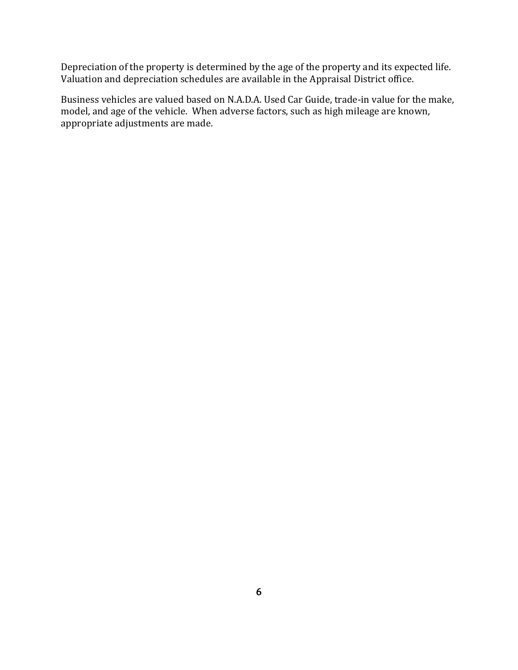Depreciation of the property is determined by the age of the property and its expected life. Valuation and depreciation schedules are available in the Appraisal District office.

Business vehicles are valued based on N.A.D.A. Used Car Guide, trade-in value for the make, model, and age of the vehicle. When adverse factors, such as high mileage are known, appropriate adjustments are made.